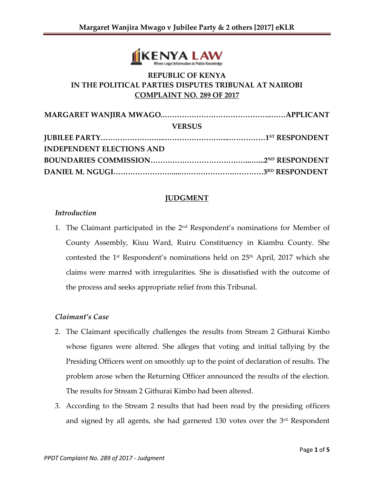

# **REPUBLIC OF KENYA IN THE POLITICAL PARTIES DISPUTES TRIBUNAL AT NAIROBI COMPLAINT NO. 289 OF 2017**

| <b>VERSUS</b>                    |  |
|----------------------------------|--|
|                                  |  |
| <b>INDEPENDENT ELECTIONS AND</b> |  |
|                                  |  |
|                                  |  |

### **JUDGMENT**

### *Introduction*

1. The Claimant participated in the  $2<sup>nd</sup>$  Respondent's nominations for Member of County Assembly, Kiuu Ward, Ruiru Constituency in Kiambu County. She contested the 1<sup>st</sup> Respondent's nominations held on 25<sup>th</sup> April, 2017 which she claims were marred with irregularities. She is dissatisfied with the outcome of the process and seeks appropriate relief from this Tribunal.

### *Claimant's Case*

- 2. The Claimant specifically challenges the results from Stream 2 Githurai Kimbo whose figures were altered. She alleges that voting and initial tallying by the Presiding Officers went on smoothly up to the point of declaration of results. The problem arose when the Returning Officer announced the results of the election. The results for Stream 2 Githurai Kimbo had been altered.
- 3. According to the Stream 2 results that had been read by the presiding officers and signed by all agents, she had garnered 130 votes over the 3<sup>rd</sup> Respondent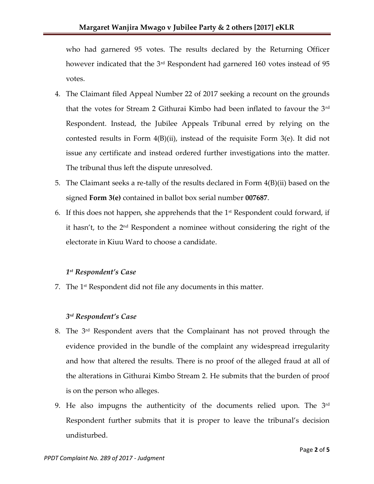who had garnered 95 votes. The results declared by the Returning Officer however indicated that the 3<sup>rd</sup> Respondent had garnered 160 votes instead of 95 votes.

- 4. The Claimant filed Appeal Number 22 of 2017 seeking a recount on the grounds that the votes for Stream 2 Githurai Kimbo had been inflated to favour the 3rd Respondent. Instead, the Jubilee Appeals Tribunal erred by relying on the contested results in Form  $4(B)(ii)$ , instead of the requisite Form  $3(e)$ . It did not issue any certificate and instead ordered further investigations into the matter. The tribunal thus left the dispute unresolved.
- 5. The Claimant seeks a re-tally of the results declared in Form 4(B)(ii) based on the signed **Form 3(e)** contained in ballot box serial number **007687**.
- 6. If this does not happen, she apprehends that the  $1<sup>st</sup>$  Respondent could forward, if it hasn't, to the 2nd Respondent a nominee without considering the right of the electorate in Kiuu Ward to choose a candidate.

# *1 st Respondent's Case*

7. The  $1<sup>st</sup>$  Respondent did not file any documents in this matter.

## *3 rd Respondent's Case*

- 8. The 3rd Respondent avers that the Complainant has not proved through the evidence provided in the bundle of the complaint any widespread irregularity and how that altered the results. There is no proof of the alleged fraud at all of the alterations in Githurai Kimbo Stream 2. He submits that the burden of proof is on the person who alleges.
- 9. He also impugns the authenticity of the documents relied upon. The  $3<sup>rd</sup>$ Respondent further submits that it is proper to leave the tribunal's decision undisturbed.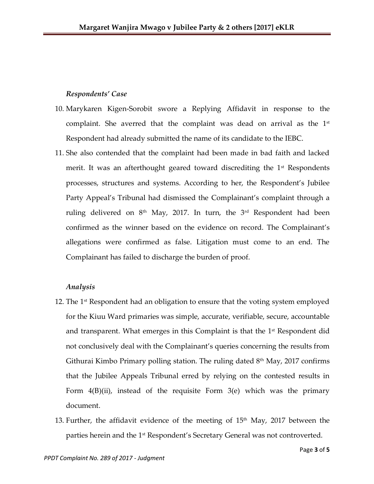### *Respondents' Case*

- 10. Marykaren Kigen-Sorobit swore a Replying Affidavit in response to the complaint. She averred that the complaint was dead on arrival as the  $1<sup>st</sup>$ Respondent had already submitted the name of its candidate to the IEBC.
- 11. She also contended that the complaint had been made in bad faith and lacked merit. It was an afterthought geared toward discrediting the  $1<sup>st</sup>$  Respondents processes, structures and systems. According to her, the Respondent's Jubilee Party Appeal's Tribunal had dismissed the Complainant's complaint through a ruling delivered on  $8<sup>th</sup>$  May, 2017. In turn, the  $3<sup>rd</sup>$  Respondent had been confirmed as the winner based on the evidence on record. The Complainant's allegations were confirmed as false. Litigation must come to an end. The Complainant has failed to discharge the burden of proof.

### *Analysis*

- 12. The  $1<sup>st</sup>$  Respondent had an obligation to ensure that the voting system employed for the Kiuu Ward primaries was simple, accurate, verifiable, secure, accountable and transparent. What emerges in this Complaint is that the 1<sup>st</sup> Respondent did not conclusively deal with the Complainant's queries concerning the results from Githurai Kimbo Primary polling station. The ruling dated  $8<sup>th</sup>$  May, 2017 confirms that the Jubilee Appeals Tribunal erred by relying on the contested results in Form  $4(B)(ii)$ , instead of the requisite Form  $3(e)$  which was the primary document.
- 13. Further, the affidavit evidence of the meeting of  $15<sup>th</sup>$  May, 2017 between the parties herein and the 1<sup>st</sup> Respondent's Secretary General was not controverted.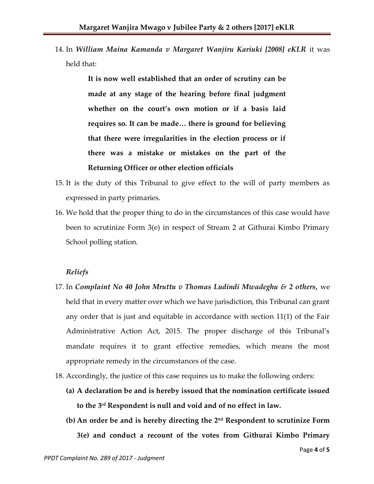14. In *William Maina Kamanda v Margaret Wanjiru Kariuki [2008] eKLR* it was held that:

> **It is now well established that an order of scrutiny can be made at any stage of the hearing before final judgment whether on the court's own motion or if a basis laid requires so. It can be made… there is ground for believing that there were irregularities in the election process or if there was a mistake or mistakes on the part of the Returning Officer or other election officials**

- 15. It is the duty of this Tribunal to give effect to the will of party members as expressed in party primaries.
- 16. We hold that the proper thing to do in the circumstances of this case would have been to scrutinize Form 3(e) in respect of Stream 2 at Githurai Kimbo Primary School polling station.

#### *Reliefs*

- 17. In *Complaint No 40 John Mruttu v Thomas Ludindi Mwadeghu & 2 others,* we held that in every matter over which we have jurisdiction, this Tribunal can grant any order that is just and equitable in accordance with section 11(1) of the Fair Administrative Action Act, 2015. The proper discharge of this Tribunal's mandate requires it to grant effective remedies, which means the most appropriate remedy in the circumstances of the case.
- 18. Accordingly, the justice of this case requires us to make the following orders:
	- **(a) A declaration be and is hereby issued that the nomination certificate issued to the 3 rd Respondent is null and void and of no effect in law.**
	- **(b) An order be and is hereby directing the 2nd Respondent to scrutinize Form 3(e) and conduct a recount of the votes from Githurai Kimbo Primary**